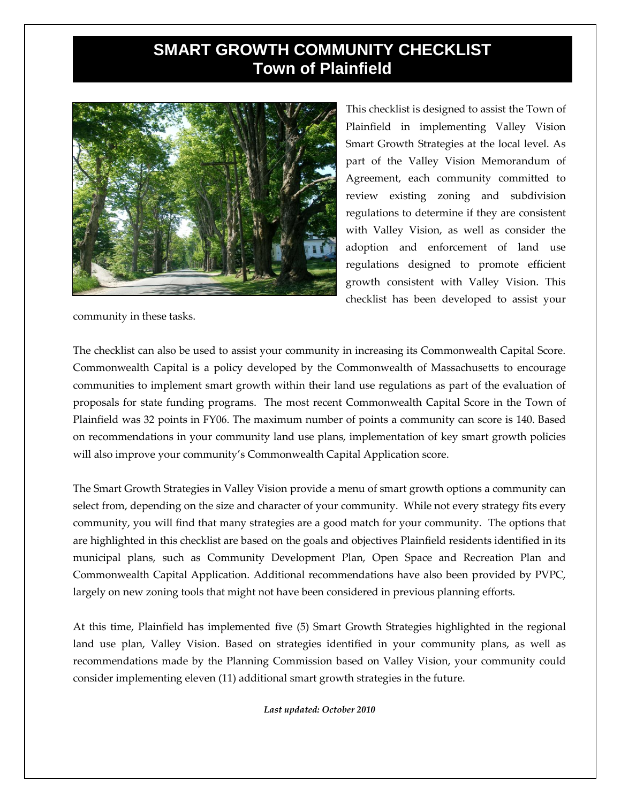## **SMART GROWTH COMMUNITY CHECKLIST Town of Plainfield**



This checklist is designed to assist the Town of Plainfield in implementing Valley Vision Smart Growth Strategies at the local level. As part of the Valley Vision Memorandum of Agreement, each community committed to review existing zoning and subdivision regulations to determine if they are consistent with Valley Vision, as well as consider the adoption and enforcement of land use regulations designed to promote efficient growth consistent with Valley Vision. This checklist has been developed to assist your

community in these tasks.

The checklist can also be used to assist your community in increasing its Commonwealth Capital Score. Commonwealth Capital is a policy developed by the Commonwealth of Massachusetts to encourage communities to implement smart growth within their land use regulations as part of the evaluation of proposals for state funding programs. The most recent Commonwealth Capital Score in the Town of Plainfield was 32 points in FY06. The maximum number of points a community can score is 140. Based on recommendations in your community land use plans, implementation of key smart growth policies will also improve your community's Commonwealth Capital Application score.

The Smart Growth Strategies in Valley Vision provide a menu of smart growth options a community can select from, depending on the size and character of your community. While not every strategy fits every community, you will find that many strategies are a good match for your community. The options that are highlighted in this checklist are based on the goals and objectives Plainfield residents identified in its municipal plans, such as Community Development Plan, Open Space and Recreation Plan and Commonwealth Capital Application. Additional recommendations have also been provided by PVPC, largely on new zoning tools that might not have been considered in previous planning efforts.

At this time, Plainfield has implemented five (5) Smart Growth Strategies highlighted in the regional land use plan, Valley Vision. Based on strategies identified in your community plans, as well as recommendations made by the Planning Commission based on Valley Vision, your community could consider implementing eleven (11) additional smart growth strategies in the future.

*Last updated: October 2010*